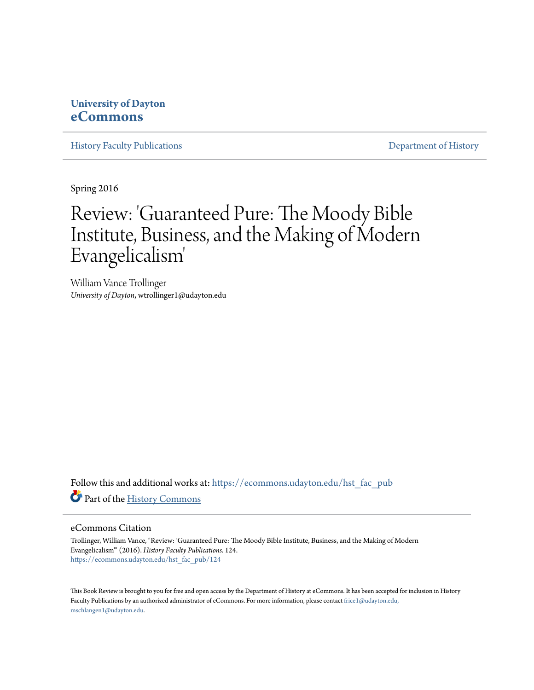## **University of Dayton [eCommons](https://ecommons.udayton.edu?utm_source=ecommons.udayton.edu%2Fhst_fac_pub%2F124&utm_medium=PDF&utm_campaign=PDFCoverPages)**

[History Faculty Publications](https://ecommons.udayton.edu/hst_fac_pub?utm_source=ecommons.udayton.edu%2Fhst_fac_pub%2F124&utm_medium=PDF&utm_campaign=PDFCoverPages) **[Department of History](https://ecommons.udayton.edu/hst?utm_source=ecommons.udayton.edu%2Fhst_fac_pub%2F124&utm_medium=PDF&utm_campaign=PDFCoverPages)** 

Spring 2016

## Review: 'Guaranteed Pure: The Moody Bible Institute, Business, and the Making of Modern Evangelicalism '

William Vance Trollinger *University of Dayton*, wtrollinger1@udayton.edu

Follow this and additional works at: [https://ecommons.udayton.edu/hst\\_fac\\_pub](https://ecommons.udayton.edu/hst_fac_pub?utm_source=ecommons.udayton.edu%2Fhst_fac_pub%2F124&utm_medium=PDF&utm_campaign=PDFCoverPages) Part of the [History Commons](http://network.bepress.com/hgg/discipline/489?utm_source=ecommons.udayton.edu%2Fhst_fac_pub%2F124&utm_medium=PDF&utm_campaign=PDFCoverPages)

## eCommons Citation

Trollinger, William Vance, "Review: 'Guaranteed Pure: The Moody Bible Institute, Business, and the Making of Modern Evangelicalism'" (2016). *History Faculty Publications*. 124. [https://ecommons.udayton.edu/hst\\_fac\\_pub/124](https://ecommons.udayton.edu/hst_fac_pub/124?utm_source=ecommons.udayton.edu%2Fhst_fac_pub%2F124&utm_medium=PDF&utm_campaign=PDFCoverPages)

This Book Review is brought to you for free and open access by the Department of History at eCommons. It has been accepted for inclusion in History Faculty Publications by an authorized administrator of eCommons. For more information, please contact [frice1@udayton.edu,](mailto:frice1@udayton.edu,%20mschlangen1@udayton.edu) [mschlangen1@udayton.edu.](mailto:frice1@udayton.edu,%20mschlangen1@udayton.edu)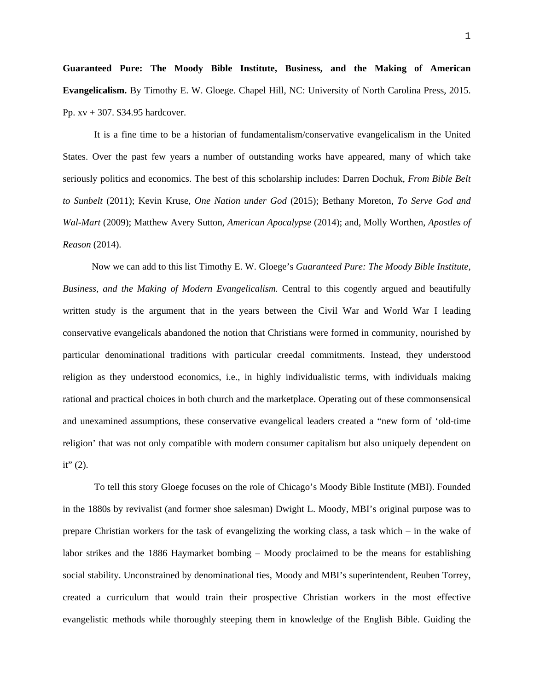**Guaranteed Pure: The Moody Bible Institute, Business, and the Making of American Evangelicalism.** By Timothy E. W. Gloege. Chapel Hill, NC: University of North Carolina Press, 2015. Pp. xv + 307. \$34.95 hardcover.

 It is a fine time to be a historian of fundamentalism/conservative evangelicalism in the United States. Over the past few years a number of outstanding works have appeared, many of which take seriously politics and economics. The best of this scholarship includes: Darren Dochuk, *From Bible Belt to Sunbelt* (2011); Kevin Kruse, *One Nation under God* (2015); Bethany Moreton, *To Serve God and Wal-Mart* (2009); Matthew Avery Sutton, *American Apocalypse* (2014); and, Molly Worthen, *Apostles of Reason* (2014).

 Now we can add to this list Timothy E. W. Gloege's *Guaranteed Pure: The Moody Bible Institute, Business, and the Making of Modern Evangelicalism.* Central to this cogently argued and beautifully written study is the argument that in the years between the Civil War and World War I leading conservative evangelicals abandoned the notion that Christians were formed in community, nourished by particular denominational traditions with particular creedal commitments. Instead, they understood religion as they understood economics, i.e., in highly individualistic terms, with individuals making rational and practical choices in both church and the marketplace. Operating out of these commonsensical and unexamined assumptions, these conservative evangelical leaders created a "new form of 'old-time religion' that was not only compatible with modern consumer capitalism but also uniquely dependent on it" $(2)$ .

 To tell this story Gloege focuses on the role of Chicago's Moody Bible Institute (MBI). Founded in the 1880s by revivalist (and former shoe salesman) Dwight L. Moody, MBI's original purpose was to prepare Christian workers for the task of evangelizing the working class, a task which – in the wake of labor strikes and the 1886 Haymarket bombing – Moody proclaimed to be the means for establishing social stability. Unconstrained by denominational ties, Moody and MBI's superintendent, Reuben Torrey, created a curriculum that would train their prospective Christian workers in the most effective evangelistic methods while thoroughly steeping them in knowledge of the English Bible. Guiding the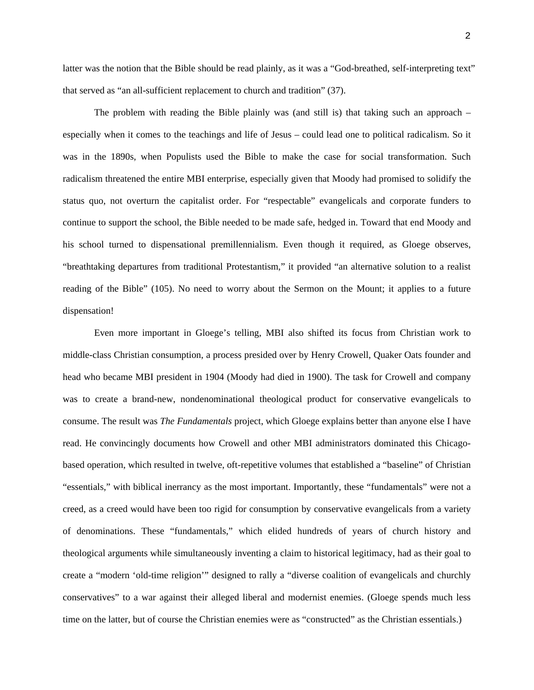latter was the notion that the Bible should be read plainly, as it was a "God-breathed, self-interpreting text" that served as "an all-sufficient replacement to church and tradition" (37).

 The problem with reading the Bible plainly was (and still is) that taking such an approach – especially when it comes to the teachings and life of Jesus – could lead one to political radicalism. So it was in the 1890s, when Populists used the Bible to make the case for social transformation. Such radicalism threatened the entire MBI enterprise, especially given that Moody had promised to solidify the status quo, not overturn the capitalist order. For "respectable" evangelicals and corporate funders to continue to support the school, the Bible needed to be made safe, hedged in. Toward that end Moody and his school turned to dispensational premillennialism. Even though it required, as Gloege observes, "breathtaking departures from traditional Protestantism," it provided "an alternative solution to a realist reading of the Bible" (105). No need to worry about the Sermon on the Mount; it applies to a future dispensation!

 Even more important in Gloege's telling, MBI also shifted its focus from Christian work to middle-class Christian consumption, a process presided over by Henry Crowell, Quaker Oats founder and head who became MBI president in 1904 (Moody had died in 1900). The task for Crowell and company was to create a brand-new, nondenominational theological product for conservative evangelicals to consume. The result was *The Fundamentals* project, which Gloege explains better than anyone else I have read. He convincingly documents how Crowell and other MBI administrators dominated this Chicagobased operation, which resulted in twelve, oft-repetitive volumes that established a "baseline" of Christian "essentials," with biblical inerrancy as the most important. Importantly, these "fundamentals" were not a creed, as a creed would have been too rigid for consumption by conservative evangelicals from a variety of denominations. These "fundamentals," which elided hundreds of years of church history and theological arguments while simultaneously inventing a claim to historical legitimacy, had as their goal to create a "modern 'old-time religion'" designed to rally a "diverse coalition of evangelicals and churchly conservatives" to a war against their alleged liberal and modernist enemies. (Gloege spends much less time on the latter, but of course the Christian enemies were as "constructed" as the Christian essentials.)